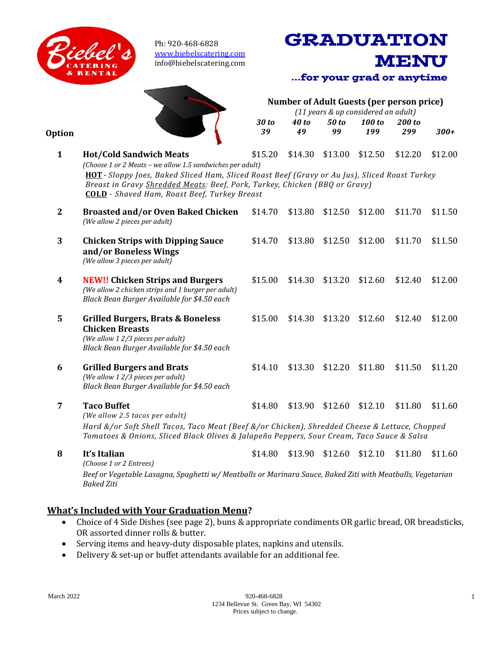

Ph: 920-468-6828 [www.biebelscatering.com](http://www.biebelscatering.com/) info@biebelscatering.com



**Option**

| $\mathbf{1}$ | <b>Hot/Cold Sandwich Meats</b><br>(Choose 1 or 2 Meats - we allow 1.5 sandwiches per adult)<br>HOT - Sloppy Joes, Baked Sliced Ham, Sliced Roast Beef (Gravy or Au Jus), Sliced Roast Turkey<br>Breast in Gravy Shredded Meats: Beef, Pork, Turkey, Chicken (BBQ or Gravy)<br><b>COLD</b> - Shaved Ham, Roast Beef, Turkey Breast | \$15.20 | \$14.30 | \$13.00 | \$12.50 | \$12.20 | \$12.00 |
|--------------|-----------------------------------------------------------------------------------------------------------------------------------------------------------------------------------------------------------------------------------------------------------------------------------------------------------------------------------|---------|---------|---------|---------|---------|---------|
| $\mathbf{2}$ | <b>Broasted and/or Oven Baked Chicken</b><br>(We allow 2 pieces per adult)                                                                                                                                                                                                                                                        | \$14.70 | \$13.80 | \$12.50 | \$12.00 | \$11.70 | \$11.50 |
| 3            | <b>Chicken Strips with Dipping Sauce</b><br>and/or Boneless Wings<br>(We allow 3 pieces per adult)                                                                                                                                                                                                                                | \$14.70 | \$13.80 | \$12.50 | \$12.00 | \$11.70 | \$11.50 |
| 4            | <b>NEW!! Chicken Strips and Burgers</b><br>(We allow 2 chicken strips and 1 burger per adult)<br>Black Bean Burger Available for \$4.50 each                                                                                                                                                                                      | \$15.00 | \$14.30 | \$13.20 | \$12.60 | \$12.40 | \$12.00 |
| 5            | <b>Grilled Burgers, Brats &amp; Boneless</b><br><b>Chicken Breasts</b><br>(We allow 12/3 pieces per adult)<br>Black Bean Burger Available for \$4.50 each                                                                                                                                                                         | \$15.00 | \$14.30 | \$13.20 | \$12.60 | \$12.40 | \$12.00 |
| 6            | <b>Grilled Burgers and Brats</b><br>(We allow 12/3 pieces per adult)<br>Black Bean Burger Available for \$4.50 each                                                                                                                                                                                                               | \$14.10 | \$13.30 | \$12.20 | \$11.80 | \$11.50 | \$11.20 |
| 7            | <b>Taco Buffet</b><br>(We allow 2.5 tacos per adult)<br>Hard &/or Soft Shell Tacos, Taco Meat (Beef &/or Chicken), Shredded Cheese & Lettuce, Chopped<br>Tomatoes & Onions, Sliced Black Olives & Jalapeño Peppers, Sour Cream, Taco Sauce & Salsa                                                                                | \$14.80 | \$13.90 | \$12.60 | \$12.10 | \$11.80 | \$11.60 |
| 8            | It's Italian                                                                                                                                                                                                                                                                                                                      | \$14.80 | \$13.90 | \$12.60 | \$12.10 | \$11.80 | \$11.60 |

*30 to 39*

*40 to 49*

**Number of Adult Guests (per person price)** *(11 years & up considered an adult)*

**GRADUATION** 

...for your grad or anytime

*100 to 199*

*200 to* 

**MENU** 

*299 300+*

*50 to 99*

*(Choose 1 or 2 Entrees)*

*Beef or Vegetable Lasagna, Spaghetti w/ Meatballs or Marinara Sauce, Baked Ziti with Meatballs, Vegetarian Baked Ziti*

### **What's Included with Your Graduation Menu?**

- Choice of 4 Side Dishes (see page 2), buns & appropriate condiments OR garlic bread, OR breadsticks, OR assorted dinner rolls & butter.
- Serving items and heavy-duty disposable plates, napkins and utensils.
- Delivery & set-up or buffet attendants available for an additional fee.